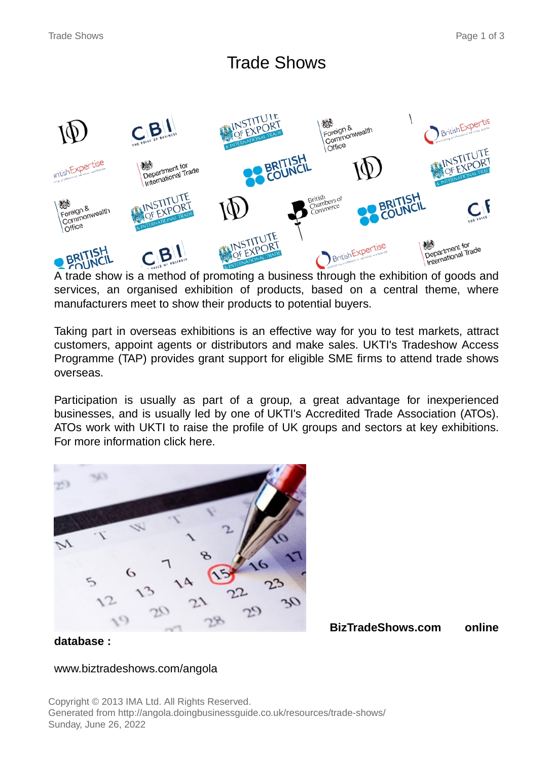# Trade Shows



A trade show is a method of promoting a business through the exhibition of goods and services, an organised exhibition of products, based on a central theme, where manufacturers meet to show their products to potential buyers.

Taking part in overseas exhibitions is an effective way for you to test markets, attract customers, appoint agents or distributors and make sales. UKTI's Tradeshow Access Programme (TAP) provides grant support for eligible SME firms to attend trade shows overseas.

Participation is usually as part of a group, a great advantage for inexperienced businesses, and is usually led by one of UKTI's Accredited Trade Association (ATOs). ATOs work with UKTI to raise the profile of UK groups and sectors at key exhibitions. For more information click here.



**BizTradeShows.com online**

**database :**

#### www.biztradeshows.com/angola

Copyright © 2013 IMA Ltd. All Rights Reserved. Generated from http://angola.doingbusinessguide.co.uk/resources/trade-shows/ Sunday, June 26, 2022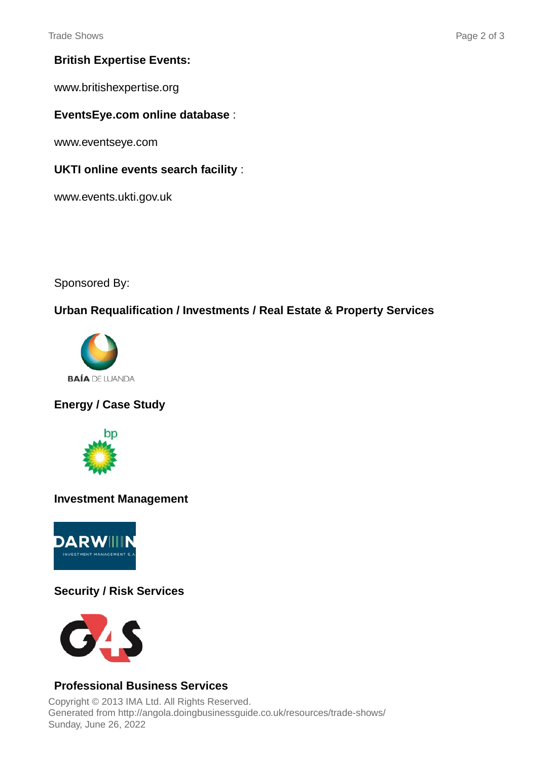# **British Expertise Events:**

www.britishexpertise.org

#### **EventsEye.com online database** :

www.eventseye.com

#### **UKTI online events search facility** :

www.events.ukti.gov.uk

Sponsored By:

# **Urban Requalification / Investments / Real Estate & Property Services**



# **Energy / Case Study**



#### **Investment Management**



# **Security / Risk Services**



# **Professional Business Services**

Copyright © 2013 IMA Ltd. All Rights Reserved. Generated from http://angola.doingbusinessguide.co.uk/resources/trade-shows/ Sunday, June 26, 2022